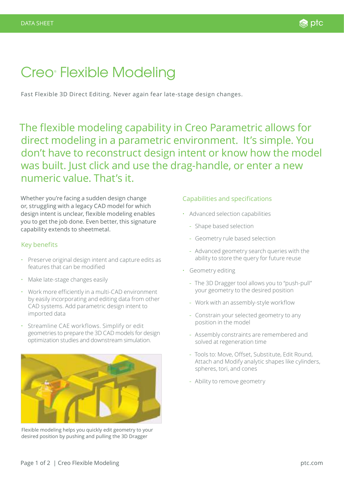## Creo<sup>®</sup> Flexible Modeling

Fast Flexible 3D Direct Editing. Never again fear late-stage design changes.

The flexible modeling capability in Creo Parametric allows for direct modeling in a parametric environment. It's simple. You don't have to reconstruct design intent or know how the model was built. Just click and use the drag-handle, or enter a new numeric value. That's it.

Whether you're facing a sudden design change or, struggling with a legacy CAD model for which design intent is unclear, flexible modeling enables you to get the job done. Even better, this signature capability extends to sheetmetal.

## Key benefits

- Preserve original design intent and capture edits as features that can be modified
- Make late-stage changes easily
- Work more efficiently in a multi-CAD environment by easily incorporating and editing data from other CAD systems. Add parametric design intent to imported data
- Streamline CAE workflows. Simplify or edit geometries to prepare the 3D CAD models for design optimization studies and downstream simulation.



Flexible modeling helps you quickly edit geometry to your desired position by pushing and pulling the 3D Dragger

## Capabilities and specifications

- Advanced selection capabilities
	- Shape based selection
	- Geometry rule based selection
	- Advanced geometry search queries with the ability to store the query for future reuse
- Geometry editing
	- The 3D Dragger tool allows you to "push-pull" your geometry to the desired position
	- Work with an assembly-style workflow
	- Constrain your selected geometry to any position in the model
	- Assembly constraints are remembered and solved at regeneration time
	- Tools to: Move, Offset, Substitute, Edit Round, Attach and Modify analytic shapes like cylinders, spheres, tori, and cones
	- Ability to remove geometry